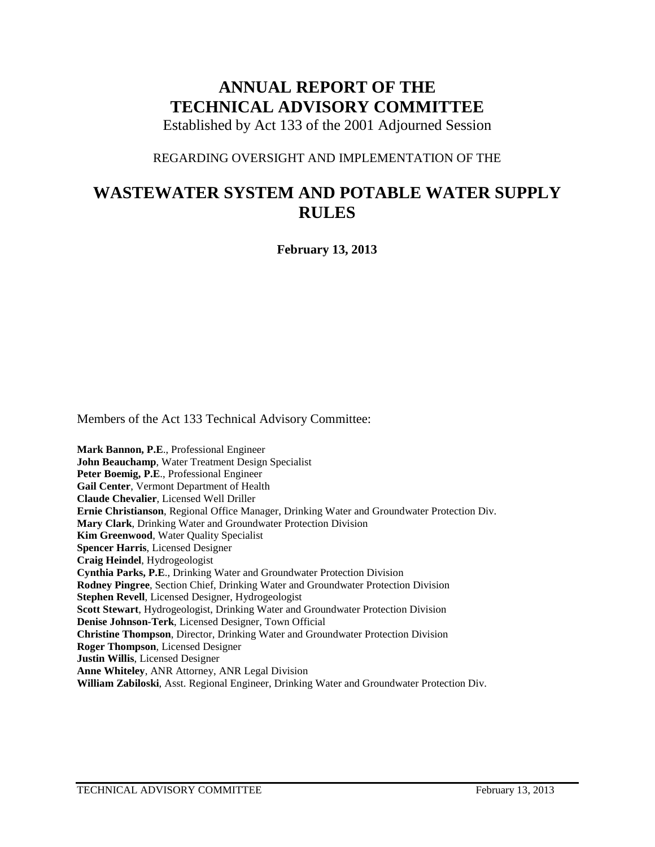# **ANNUAL REPORT OF THE TECHNICAL ADVISORY COMMITTEE**

Established by Act 133 of the 2001 Adjourned Session

### REGARDING OVERSIGHT AND IMPLEMENTATION OF THE

# **WASTEWATER SYSTEM AND POTABLE WATER SUPPLY RULES**

**February 13, 2013**

Members of the Act 133 Technical Advisory Committee:

**Mark Bannon, P.E**., Professional Engineer **John Beauchamp**, Water Treatment Design Specialist **Peter Boemig, P.E**., Professional Engineer **Gail Center**, Vermont Department of Health **Claude Chevalier**, Licensed Well Driller **Ernie Christianson**, Regional Office Manager, Drinking Water and Groundwater Protection Div. **Mary Clark**, Drinking Water and Groundwater Protection Division **Kim Greenwood**, Water Quality Specialist **Spencer Harris**, Licensed Designer **Craig Heindel**, Hydrogeologist **Cynthia Parks, P.E**., Drinking Water and Groundwater Protection Division **Rodney Pingree**, Section Chief, Drinking Water and Groundwater Protection Division **Stephen Revell**, Licensed Designer, Hydrogeologist **Scott Stewart**, Hydrogeologist, Drinking Water and Groundwater Protection Division **Denise Johnson-Terk**, Licensed Designer, Town Official **Christine Thompson**, Director, Drinking Water and Groundwater Protection Division **Roger Thompson**, Licensed Designer **Justin Willis**, Licensed Designer **Anne Whiteley**, ANR Attorney, ANR Legal Division **William Zabiloski**, Asst. Regional Engineer, Drinking Water and Groundwater Protection Div.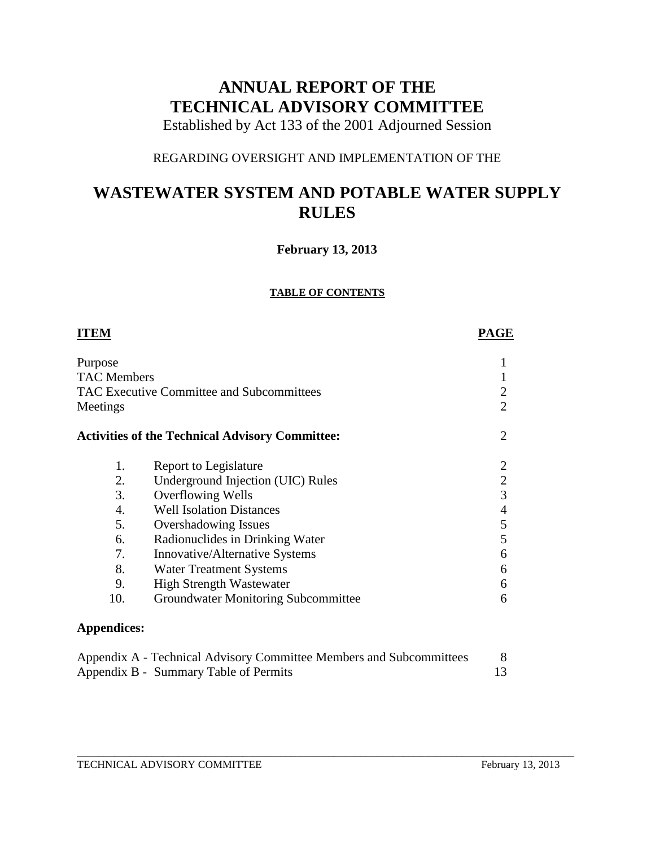# **ANNUAL REPORT OF THE TECHNICAL ADVISORY COMMITTEE**

Established by Act 133 of the 2001 Adjourned Session

## REGARDING OVERSIGHT AND IMPLEMENTATION OF THE

# **WASTEWATER SYSTEM AND POTABLE WATER SUPPLY RULES**

## **February 13, 2013**

#### **TABLE OF CONTENTS**

| <b>ITEM</b>                                                  |                                                        | <b>PAGE</b>    |
|--------------------------------------------------------------|--------------------------------------------------------|----------------|
| Purpose<br><b>TAC Members</b>                                |                                                        |                |
| <b>TAC Executive Committee and Subcommittees</b><br>Meetings | 2<br>$\overline{2}$                                    |                |
|                                                              | <b>Activities of the Technical Advisory Committee:</b> | 2              |
| 1.                                                           | Report to Legislature                                  |                |
| 2.                                                           | Underground Injection (UIC) Rules                      | $\overline{2}$ |
| 3.                                                           | Overflowing Wells                                      | 3              |
| $\overline{4}$ .                                             | <b>Well Isolation Distances</b>                        | 4              |
| 5.                                                           | <b>Overshadowing Issues</b>                            | 5              |
| 6.                                                           | Radionuclides in Drinking Water                        | 5              |
| 7.                                                           | Innovative/Alternative Systems                         | 6              |
| 8.                                                           | <b>Water Treatment Systems</b>                         | 6              |
| 9.                                                           | <b>High Strength Wastewater</b>                        | 6              |
| 10.                                                          | Groundwater Monitoring Subcommittee                    | 6              |
| <b>Appendices:</b>                                           |                                                        |                |

| Appendix A - Technical Advisory Committee Members and Subcommittees |  |
|---------------------------------------------------------------------|--|
| Appendix B - Summary Table of Permits                               |  |

\_\_\_\_\_\_\_\_\_\_\_\_\_\_\_\_\_\_\_\_\_\_\_\_\_\_\_\_\_\_\_\_\_\_\_\_\_\_\_\_\_\_\_\_\_\_\_\_\_\_\_\_\_\_\_\_\_\_\_\_\_\_\_\_\_\_\_\_\_\_\_\_\_\_\_\_\_\_\_\_\_\_\_\_\_\_\_\_\_\_\_\_\_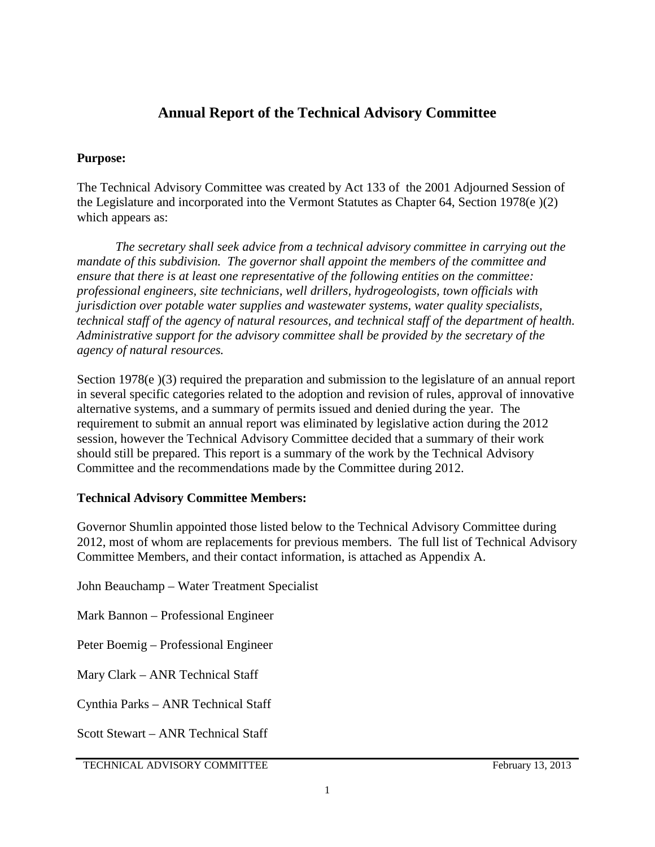## **Annual Report of the Technical Advisory Committee**

## **Purpose:**

The Technical Advisory Committee was created by Act 133 of the 2001 Adjourned Session of the Legislature and incorporated into the Vermont Statutes as Chapter 64, Section 1978(e )(2) which appears as:

*The secretary shall seek advice from a technical advisory committee in carrying out the mandate of this subdivision. The governor shall appoint the members of the committee and ensure that there is at least one representative of the following entities on the committee: professional engineers, site technicians, well drillers, hydrogeologists, town officials with jurisdiction over potable water supplies and wastewater systems, water quality specialists, technical staff of the agency of natural resources, and technical staff of the department of health. Administrative support for the advisory committee shall be provided by the secretary of the agency of natural resources.* 

Section 1978(e)(3) required the preparation and submission to the legislature of an annual report in several specific categories related to the adoption and revision of rules, approval of innovative alternative systems, and a summary of permits issued and denied during the year. The requirement to submit an annual report was eliminated by legislative action during the 2012 session, however the Technical Advisory Committee decided that a summary of their work should still be prepared. This report is a summary of the work by the Technical Advisory Committee and the recommendations made by the Committee during 2012.

## **Technical Advisory Committee Members:**

Governor Shumlin appointed those listed below to the Technical Advisory Committee during 2012, most of whom are replacements for previous members. The full list of Technical Advisory Committee Members, and their contact information, is attached as Appendix A.

John Beauchamp – Water Treatment Specialist

Mark Bannon – Professional Engineer

Peter Boemig – Professional Engineer

Mary Clark – ANR Technical Staff

Cynthia Parks – ANR Technical Staff

Scott Stewart – ANR Technical Staff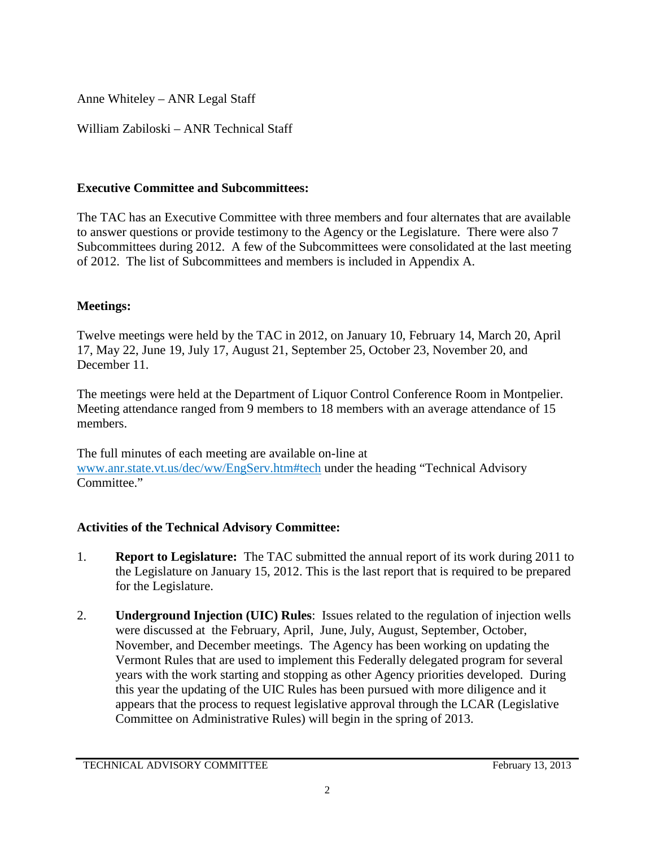Anne Whiteley – ANR Legal Staff

William Zabiloski – ANR Technical Staff

## **Executive Committee and Subcommittees:**

The TAC has an Executive Committee with three members and four alternates that are available to answer questions or provide testimony to the Agency or the Legislature. There were also 7 Subcommittees during 2012. A few of the Subcommittees were consolidated at the last meeting of 2012. The list of Subcommittees and members is included in Appendix A.

## **Meetings:**

Twelve meetings were held by the TAC in 2012, on January 10, February 14, March 20, April 17, May 22, June 19, July 17, August 21, September 25, October 23, November 20, and December 11.

The meetings were held at the Department of Liquor Control Conference Room in Montpelier. Meeting attendance ranged from 9 members to 18 members with an average attendance of 15 members.

The full minutes of each meeting are available on-line at [www.anr.state.vt.us/dec/ww/EngServ.htm#tech](http://www.anr.state.vt.us/dec/ww/EngServ.htm#tech) under the heading "Technical Advisory Committee."

## **Activities of the Technical Advisory Committee:**

- 1. **Report to Legislature:** The TAC submitted the annual report of its work during 2011 to the Legislature on January 15, 2012. This is the last report that is required to be prepared for the Legislature.
- 2. **Underground Injection (UIC) Rules**: Issues related to the regulation of injection wells were discussed at the February, April, June, July, August, September, October, November, and December meetings. The Agency has been working on updating the Vermont Rules that are used to implement this Federally delegated program for several years with the work starting and stopping as other Agency priorities developed. During this year the updating of the UIC Rules has been pursued with more diligence and it appears that the process to request legislative approval through the LCAR (Legislative Committee on Administrative Rules) will begin in the spring of 2013.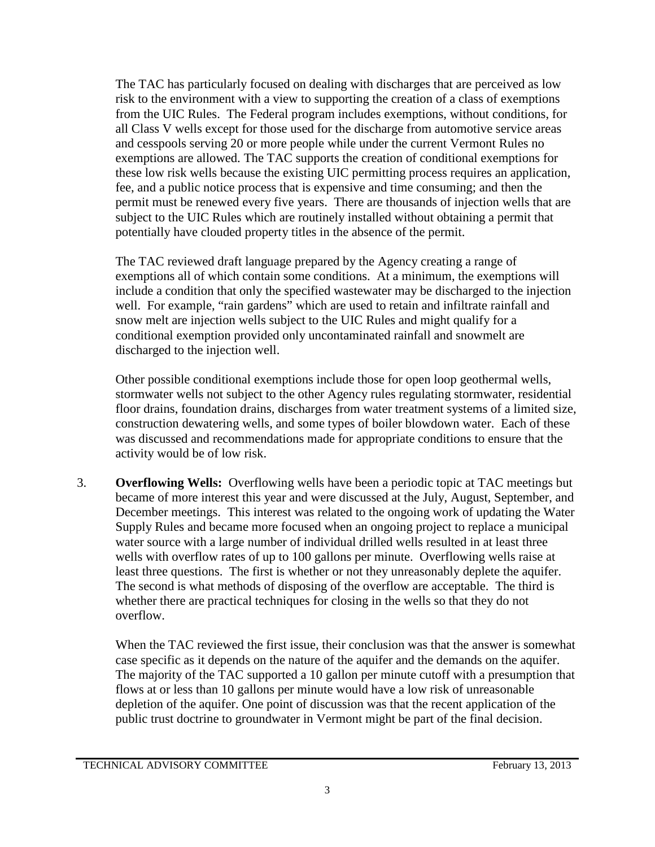The TAC has particularly focused on dealing with discharges that are perceived as low risk to the environment with a view to supporting the creation of a class of exemptions from the UIC Rules. The Federal program includes exemptions, without conditions, for all Class V wells except for those used for the discharge from automotive service areas and cesspools serving 20 or more people while under the current Vermont Rules no exemptions are allowed. The TAC supports the creation of conditional exemptions for these low risk wells because the existing UIC permitting process requires an application, fee, and a public notice process that is expensive and time consuming; and then the permit must be renewed every five years. There are thousands of injection wells that are subject to the UIC Rules which are routinely installed without obtaining a permit that potentially have clouded property titles in the absence of the permit.

The TAC reviewed draft language prepared by the Agency creating a range of exemptions all of which contain some conditions. At a minimum, the exemptions will include a condition that only the specified wastewater may be discharged to the injection well. For example, "rain gardens" which are used to retain and infiltrate rainfall and snow melt are injection wells subject to the UIC Rules and might qualify for a conditional exemption provided only uncontaminated rainfall and snowmelt are discharged to the injection well.

Other possible conditional exemptions include those for open loop geothermal wells, stormwater wells not subject to the other Agency rules regulating stormwater, residential floor drains, foundation drains, discharges from water treatment systems of a limited size, construction dewatering wells, and some types of boiler blowdown water. Each of these was discussed and recommendations made for appropriate conditions to ensure that the activity would be of low risk.

3. **Overflowing Wells:** Overflowing wells have been a periodic topic at TAC meetings but became of more interest this year and were discussed at the July, August, September, and December meetings. This interest was related to the ongoing work of updating the Water Supply Rules and became more focused when an ongoing project to replace a municipal water source with a large number of individual drilled wells resulted in at least three wells with overflow rates of up to 100 gallons per minute. Overflowing wells raise at least three questions. The first is whether or not they unreasonably deplete the aquifer. The second is what methods of disposing of the overflow are acceptable. The third is whether there are practical techniques for closing in the wells so that they do not overflow.

When the TAC reviewed the first issue, their conclusion was that the answer is somewhat case specific as it depends on the nature of the aquifer and the demands on the aquifer. The majority of the TAC supported a 10 gallon per minute cutoff with a presumption that flows at or less than 10 gallons per minute would have a low risk of unreasonable depletion of the aquifer. One point of discussion was that the recent application of the public trust doctrine to groundwater in Vermont might be part of the final decision.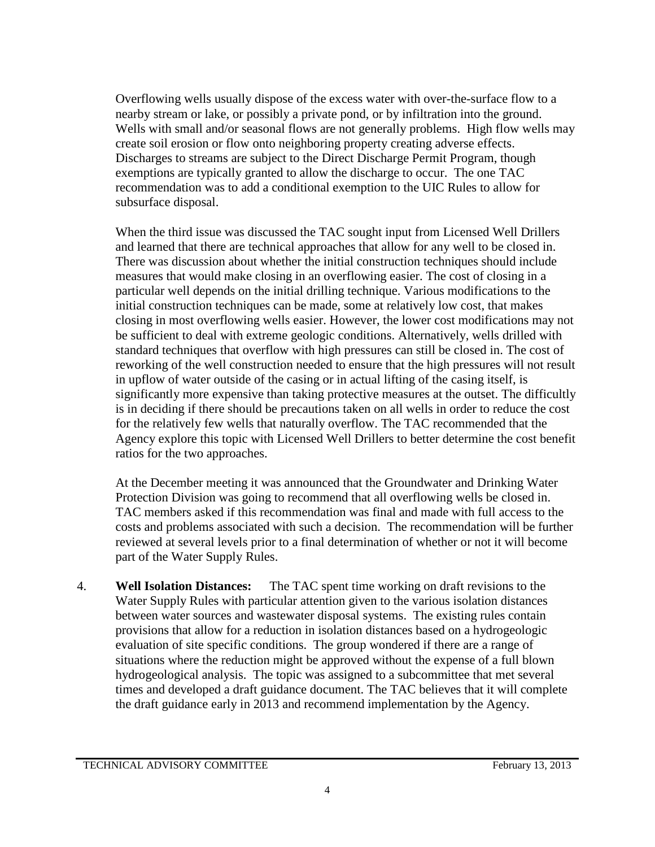Overflowing wells usually dispose of the excess water with over-the-surface flow to a nearby stream or lake, or possibly a private pond, or by infiltration into the ground. Wells with small and/or seasonal flows are not generally problems. High flow wells may create soil erosion or flow onto neighboring property creating adverse effects. Discharges to streams are subject to the Direct Discharge Permit Program, though exemptions are typically granted to allow the discharge to occur. The one TAC recommendation was to add a conditional exemption to the UIC Rules to allow for subsurface disposal.

When the third issue was discussed the TAC sought input from Licensed Well Drillers and learned that there are technical approaches that allow for any well to be closed in. There was discussion about whether the initial construction techniques should include measures that would make closing in an overflowing easier. The cost of closing in a particular well depends on the initial drilling technique. Various modifications to the initial construction techniques can be made, some at relatively low cost, that makes closing in most overflowing wells easier. However, the lower cost modifications may not be sufficient to deal with extreme geologic conditions. Alternatively, wells drilled with standard techniques that overflow with high pressures can still be closed in. The cost of reworking of the well construction needed to ensure that the high pressures will not result in upflow of water outside of the casing or in actual lifting of the casing itself, is significantly more expensive than taking protective measures at the outset. The difficultly is in deciding if there should be precautions taken on all wells in order to reduce the cost for the relatively few wells that naturally overflow. The TAC recommended that the Agency explore this topic with Licensed Well Drillers to better determine the cost benefit ratios for the two approaches.

At the December meeting it was announced that the Groundwater and Drinking Water Protection Division was going to recommend that all overflowing wells be closed in. TAC members asked if this recommendation was final and made with full access to the costs and problems associated with such a decision. The recommendation will be further reviewed at several levels prior to a final determination of whether or not it will become part of the Water Supply Rules.

4. **Well Isolation Distances:** The TAC spent time working on draft revisions to the Water Supply Rules with particular attention given to the various isolation distances between water sources and wastewater disposal systems. The existing rules contain provisions that allow for a reduction in isolation distances based on a hydrogeologic evaluation of site specific conditions. The group wondered if there are a range of situations where the reduction might be approved without the expense of a full blown hydrogeological analysis. The topic was assigned to a subcommittee that met several times and developed a draft guidance document. The TAC believes that it will complete the draft guidance early in 2013 and recommend implementation by the Agency.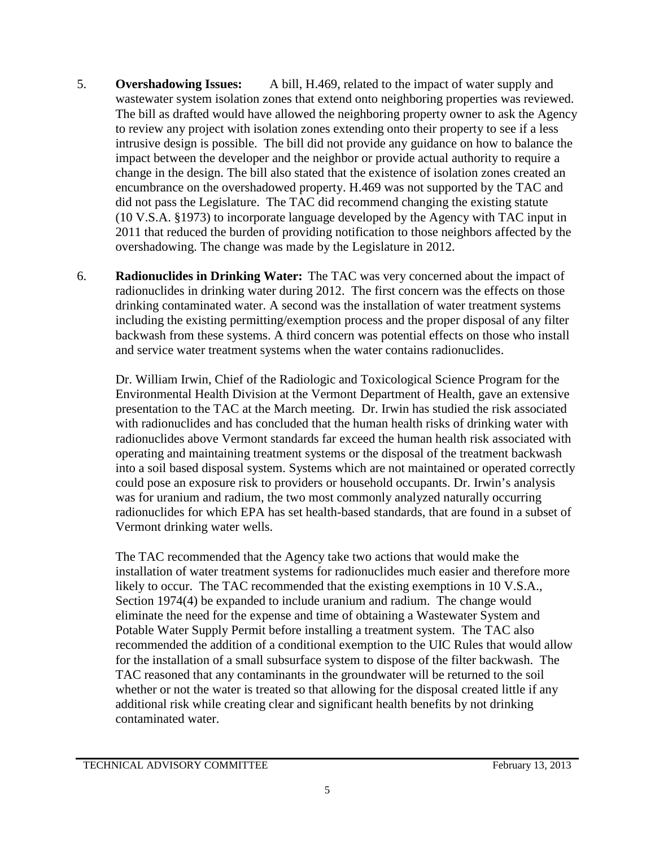- 5. **Overshadowing Issues:** A bill, H.469, related to the impact of water supply and wastewater system isolation zones that extend onto neighboring properties was reviewed. The bill as drafted would have allowed the neighboring property owner to ask the Agency to review any project with isolation zones extending onto their property to see if a less intrusive design is possible. The bill did not provide any guidance on how to balance the impact between the developer and the neighbor or provide actual authority to require a change in the design. The bill also stated that the existence of isolation zones created an encumbrance on the overshadowed property. H.469 was not supported by the TAC and did not pass the Legislature. The TAC did recommend changing the existing statute (10 V.S.A. §1973) to incorporate language developed by the Agency with TAC input in 2011 that reduced the burden of providing notification to those neighbors affected by the overshadowing. The change was made by the Legislature in 2012.
- 6. **Radionuclides in Drinking Water:** The TAC was very concerned about the impact of radionuclides in drinking water during 2012. The first concern was the effects on those drinking contaminated water. A second was the installation of water treatment systems including the existing permitting/exemption process and the proper disposal of any filter backwash from these systems. A third concern was potential effects on those who install and service water treatment systems when the water contains radionuclides.

Dr. William Irwin, Chief of the Radiologic and Toxicological Science Program for the Environmental Health Division at the Vermont Department of Health, gave an extensive presentation to the TAC at the March meeting. Dr. Irwin has studied the risk associated with radionuclides and has concluded that the human health risks of drinking water with radionuclides above Vermont standards far exceed the human health risk associated with operating and maintaining treatment systems or the disposal of the treatment backwash into a soil based disposal system. Systems which are not maintained or operated correctly could pose an exposure risk to providers or household occupants. Dr. Irwin's analysis was for uranium and radium, the two most commonly analyzed naturally occurring radionuclides for which EPA has set health-based standards, that are found in a subset of Vermont drinking water wells.

The TAC recommended that the Agency take two actions that would make the installation of water treatment systems for radionuclides much easier and therefore more likely to occur. The TAC recommended that the existing exemptions in 10 V.S.A., Section 1974(4) be expanded to include uranium and radium. The change would eliminate the need for the expense and time of obtaining a Wastewater System and Potable Water Supply Permit before installing a treatment system. The TAC also recommended the addition of a conditional exemption to the UIC Rules that would allow for the installation of a small subsurface system to dispose of the filter backwash. The TAC reasoned that any contaminants in the groundwater will be returned to the soil whether or not the water is treated so that allowing for the disposal created little if any additional risk while creating clear and significant health benefits by not drinking contaminated water.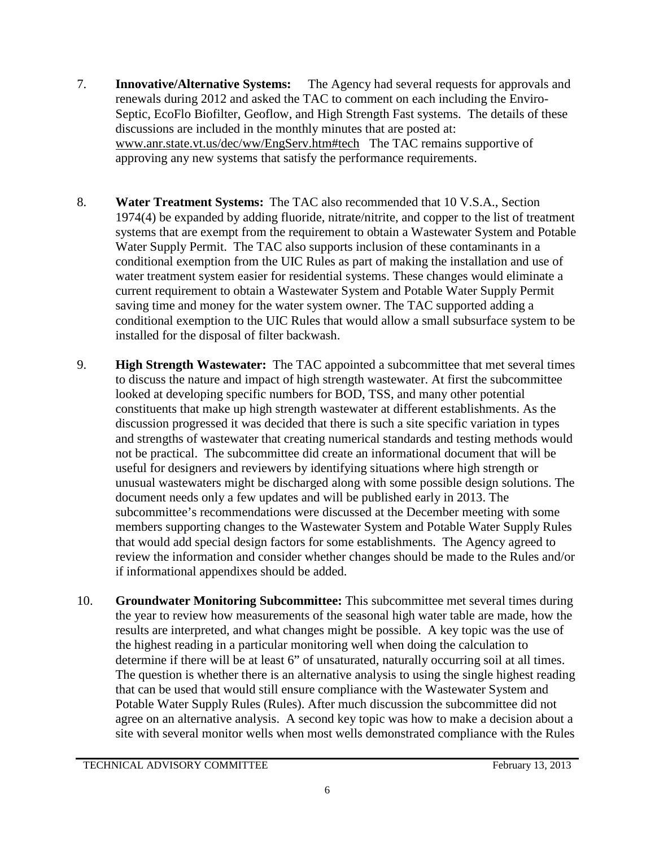- 7. **Innovative/Alternative Systems:** The Agency had several requests for approvals and renewals during 2012 and asked the TAC to comment on each including the Enviro-Septic, EcoFlo Biofilter, Geoflow, and High Strength Fast systems. The details of these discussions are included in the monthly minutes that are posted at: [www.anr.state.vt.us/dec/ww/EngServ.htm#tech](http://www.anr.state.vt.us/dec/ww/EngServ.htm#tech) The TAC remains supportive of approving any new systems that satisfy the performance requirements.
- 8. **Water Treatment Systems:** The TAC also recommended that 10 V.S.A., Section 1974(4) be expanded by adding fluoride, nitrate/nitrite, and copper to the list of treatment systems that are exempt from the requirement to obtain a Wastewater System and Potable Water Supply Permit. The TAC also supports inclusion of these contaminants in a conditional exemption from the UIC Rules as part of making the installation and use of water treatment system easier for residential systems. These changes would eliminate a current requirement to obtain a Wastewater System and Potable Water Supply Permit saving time and money for the water system owner. The TAC supported adding a conditional exemption to the UIC Rules that would allow a small subsurface system to be installed for the disposal of filter backwash.
- 9. **High Strength Wastewater:** The TAC appointed a subcommittee that met several times to discuss the nature and impact of high strength wastewater. At first the subcommittee looked at developing specific numbers for BOD, TSS, and many other potential constituents that make up high strength wastewater at different establishments. As the discussion progressed it was decided that there is such a site specific variation in types and strengths of wastewater that creating numerical standards and testing methods would not be practical. The subcommittee did create an informational document that will be useful for designers and reviewers by identifying situations where high strength or unusual wastewaters might be discharged along with some possible design solutions. The document needs only a few updates and will be published early in 2013. The subcommittee's recommendations were discussed at the December meeting with some members supporting changes to the Wastewater System and Potable Water Supply Rules that would add special design factors for some establishments. The Agency agreed to review the information and consider whether changes should be made to the Rules and/or if informational appendixes should be added.
- 10. **Groundwater Monitoring Subcommittee:** This subcommittee met several times during the year to review how measurements of the seasonal high water table are made, how the results are interpreted, and what changes might be possible. A key topic was the use of the highest reading in a particular monitoring well when doing the calculation to determine if there will be at least 6" of unsaturated, naturally occurring soil at all times. The question is whether there is an alternative analysis to using the single highest reading that can be used that would still ensure compliance with the Wastewater System and Potable Water Supply Rules (Rules). After much discussion the subcommittee did not agree on an alternative analysis. A second key topic was how to make a decision about a site with several monitor wells when most wells demonstrated compliance with the Rules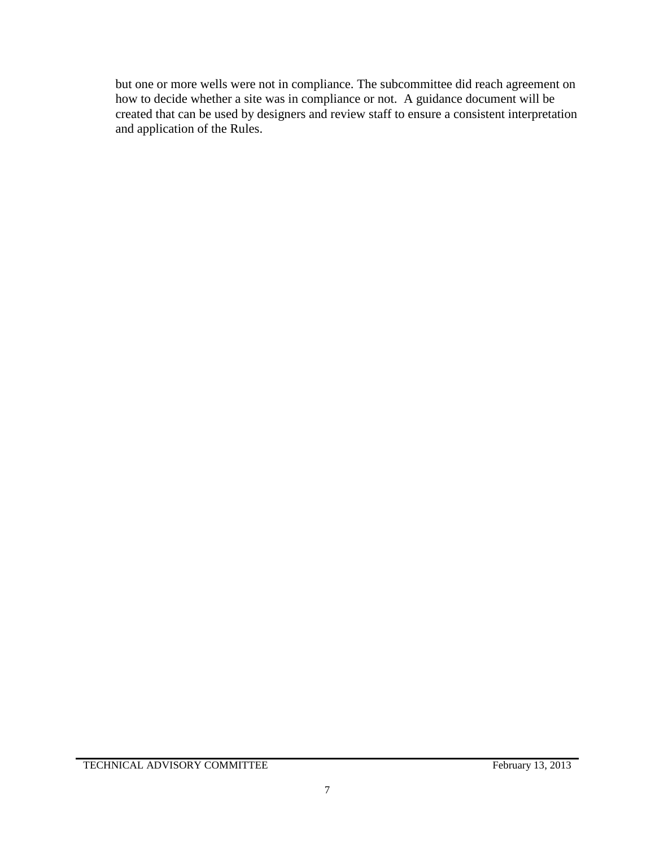but one or more wells were not in compliance. The subcommittee did reach agreement on how to decide whether a site was in compliance or not. A guidance document will be created that can be used by designers and review staff to ensure a consistent interpretation and application of the Rules.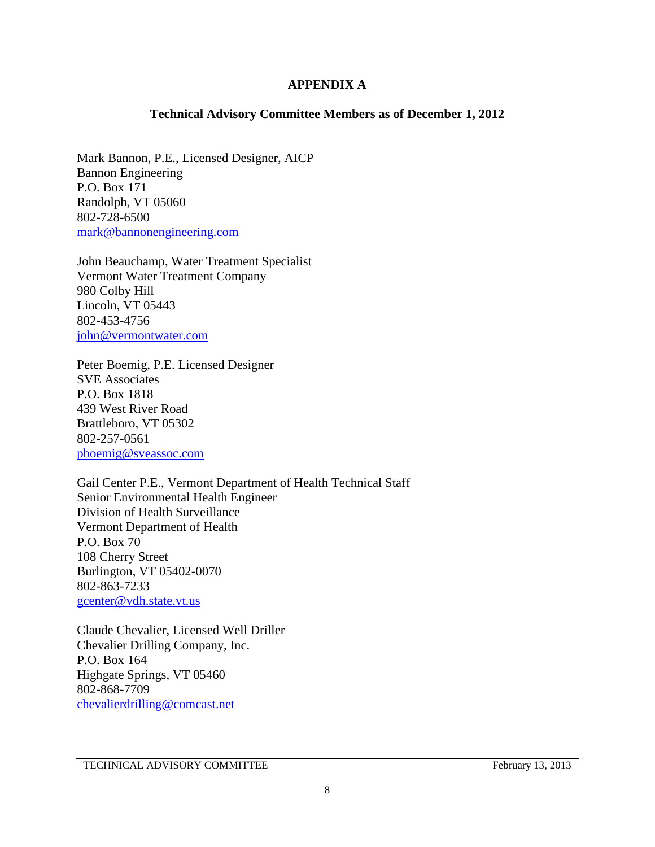#### **APPENDIX A**

#### **Technical Advisory Committee Members as of December 1, 2012**

Mark Bannon, P.E., Licensed Designer, AICP Bannon Engineering P.O. Box 171 Randolph, VT 05060 802-728-6500 [mark@bannonengineering.com](mailto:mark@bannonengineering.com)

John Beauchamp, Water Treatment Specialist Vermont Water Treatment Company 980 Colby Hill Lincoln, VT 05443 802-453-4756 [john@vermontwater.com](mailto:john@vermontwater.com)

Peter Boemig, P.E. Licensed Designer SVE Associates P.O. Box 1818 439 West River Road Brattleboro, VT 05302 802-257-0561 [pboemig@sveassoc.com](mailto:pboemig@sveassoc.com)

Gail Center P.E., Vermont Department of Health Technical Staff Senior Environmental Health Engineer Division of Health Surveillance Vermont Department of Health P.O. Box 70 108 Cherry Street Burlington, VT 05402-0070 802-863-7233 [gcenter@vdh.state.vt.us](mailto:gcenter@vdh.state.vt.us)

Claude Chevalier, Licensed Well Driller Chevalier Drilling Company, Inc. P.O. Box 164 Highgate Springs, VT 05460 802-868-7709 [chevalierdrilling@comcast.net](mailto:chevalierdrilling@comcast.net)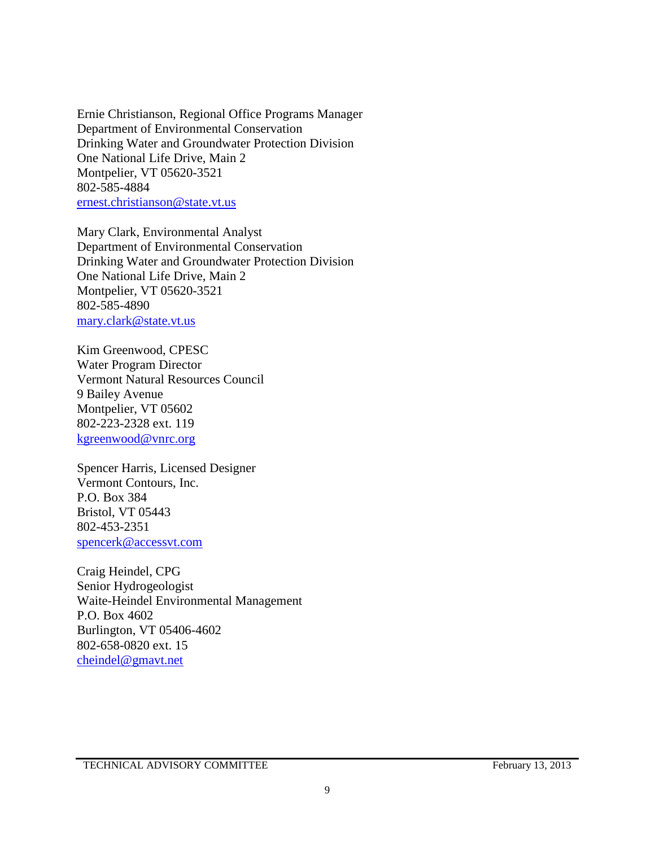Ernie Christianson, Regional Office Programs Manager Department of Environmental Conservation Drinking Water and Groundwater Protection Division One National Life Drive, Main 2 Montpelier, VT 05620-3521 802-585-4884 [ernest.christianson@state.vt.us](mailto:ernest.christianson@state.vt.us)

Mary Clark, Environmental Analyst Department of Environmental Conservation Drinking Water and Groundwater Protection Division One National Life Drive, Main 2 Montpelier, VT 05620-3521 802-585-4890 [mary.clark@state.vt.us](mailto:mary.clark@state.vt.us)

Kim Greenwood, CPESC Water Program Director Vermont Natural Resources Council 9 Bailey Avenue Montpelier, VT 05602 802-223-2328 ext. 119 [kgreenwood@vnrc.org](mailto:kgreenwood@vnrc.org)

Spencer Harris, Licensed Designer Vermont Contours, Inc. P.O. Box 384 Bristol, VT 05443 802-453-2351 [spencerk@accessvt.com](mailto:spencerk@accessvt.com)

Craig Heindel, CPG Senior Hydrogeologist Waite-Heindel Environmental Management P.O. Box 4602 Burlington, VT 05406-4602 802-658-0820 ext. 15 [cheindel@gmavt.net](mailto:cheindel@gmavt.net)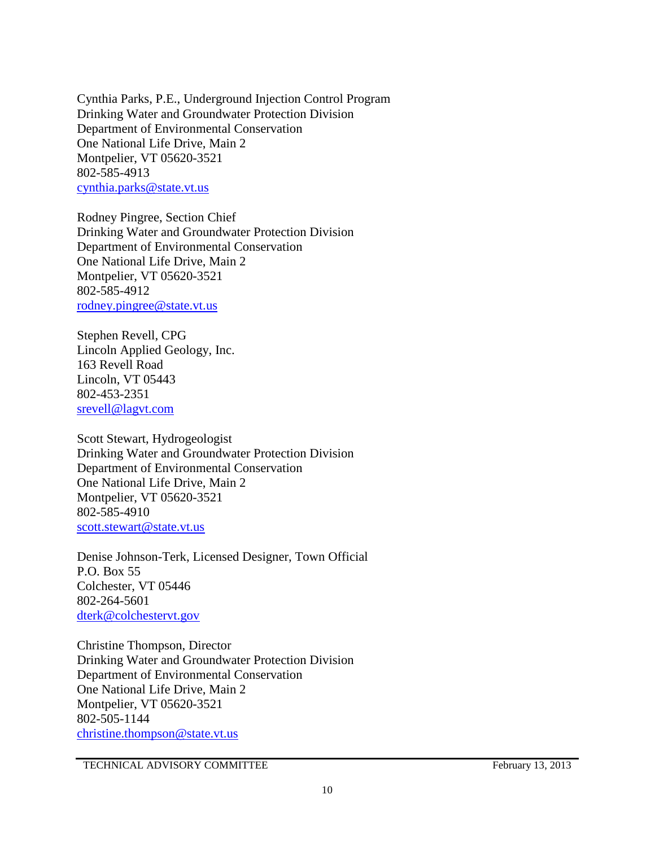Cynthia Parks, P.E., Underground Injection Control Program Drinking Water and Groundwater Protection Division Department of Environmental Conservation One National Life Drive, Main 2 Montpelier, VT 05620-3521 802-585-4913 [cynthia.parks@state.vt.us](mailto:cynthia.parks@state.vt.us)

Rodney Pingree, Section Chief Drinking Water and Groundwater Protection Division Department of Environmental Conservation One National Life Drive, Main 2 Montpelier, VT 05620-3521 802-585-4912 [rodney.pingree@state.vt.us](mailto:rodney.pingree@state.vt.us)

Stephen Revell, CPG Lincoln Applied Geology, Inc. 163 Revell Road Lincoln, VT 05443 802-453-2351 [srevell@lagvt.com](mailto:srevell@lagvt.com)

Scott Stewart, Hydrogeologist Drinking Water and Groundwater Protection Division Department of Environmental Conservation One National Life Drive, Main 2 Montpelier, VT 05620-3521 802-585-4910 [scott.stewart@state.vt.us](mailto:scott.stewart@state.vt.us)

Denise Johnson-Terk, Licensed Designer, Town Official P.O. Box 55 Colchester, VT 05446 802-264-5601 [dterk@colchestervt.gov](mailto:dterk@colchestervt.gov)

Christine Thompson, Director Drinking Water and Groundwater Protection Division Department of Environmental Conservation One National Life Drive, Main 2 Montpelier, VT 05620-3521 802-505-1144 [christine.thompson@state.vt.us](mailto:christine.thompson@state.vt.us)

TECHNICAL ADVISORY COMMITTEE February 13, 2013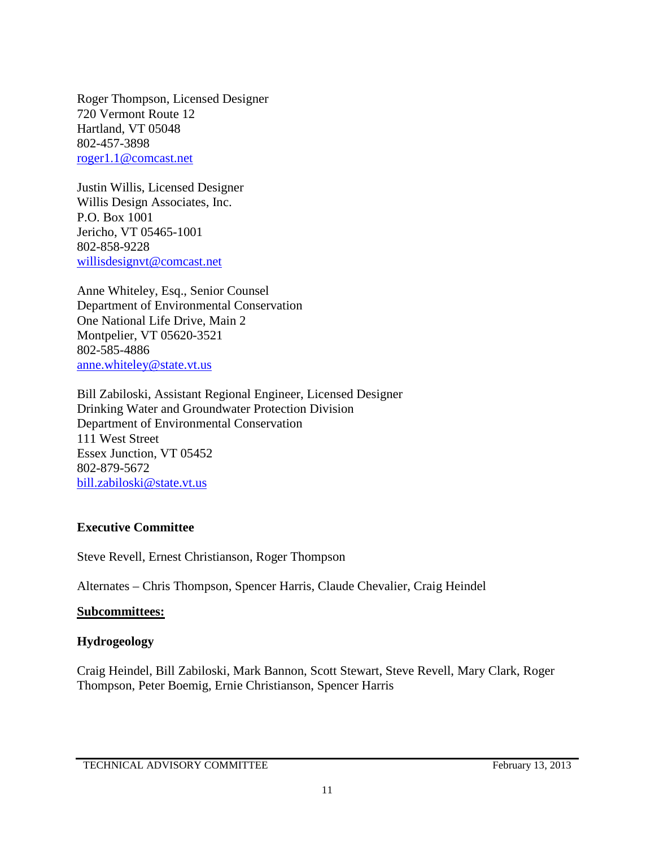Roger Thompson, Licensed Designer 720 Vermont Route 12 Hartland, VT 05048 802-457-3898 [roger1.1@comcast.net](mailto:roger1.1@comcast.net)

Justin Willis, Licensed Designer Willis Design Associates, Inc. P.O. Box 1001 Jericho, VT 05465-1001 802-858-9228 [willisdesignvt@comcast.net](mailto:willisdesignvt@comcast.net)

Anne Whiteley, Esq., Senior Counsel Department of Environmental Conservation One National Life Drive, Main 2 Montpelier, VT 05620-3521 802-585-4886 [anne.whiteley@state.vt.us](mailto:anne.whiteley@state.vt.us)

Bill Zabiloski, Assistant Regional Engineer, Licensed Designer Drinking Water and Groundwater Protection Division Department of Environmental Conservation 111 West Street Essex Junction, VT 05452 802-879-5672 [bill.zabiloski@state.vt.us](mailto:bill.zabiloski@state.vt.us)

#### **Executive Committee**

Steve Revell, Ernest Christianson, Roger Thompson

Alternates – Chris Thompson, Spencer Harris, Claude Chevalier, Craig Heindel

#### **Subcommittees:**

#### **Hydrogeology**

Craig Heindel, Bill Zabiloski, Mark Bannon, Scott Stewart, Steve Revell, Mary Clark, Roger Thompson, Peter Boemig, Ernie Christianson, Spencer Harris

TECHNICAL ADVISORY COMMITTEE February 13, 2013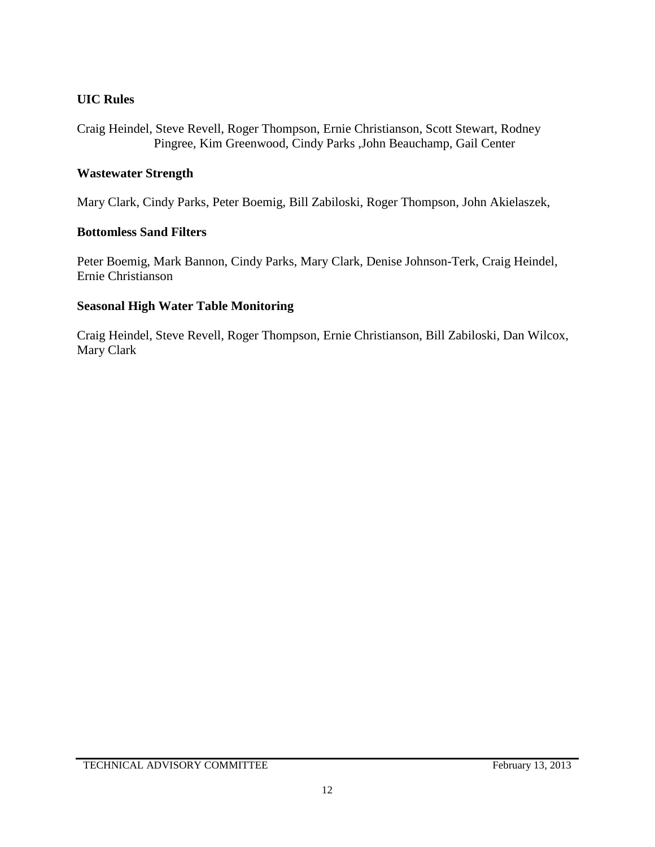## **UIC Rules**

Craig Heindel, Steve Revell, Roger Thompson, Ernie Christianson, Scott Stewart, Rodney Pingree, Kim Greenwood, Cindy Parks ,John Beauchamp, Gail Center

#### **Wastewater Strength**

Mary Clark, Cindy Parks, Peter Boemig, Bill Zabiloski, Roger Thompson, John Akielaszek,

### **Bottomless Sand Filters**

Peter Boemig, Mark Bannon, Cindy Parks, Mary Clark, Denise Johnson-Terk, Craig Heindel, Ernie Christianson

### **Seasonal High Water Table Monitoring**

Craig Heindel, Steve Revell, Roger Thompson, Ernie Christianson, Bill Zabiloski, Dan Wilcox, Mary Clark